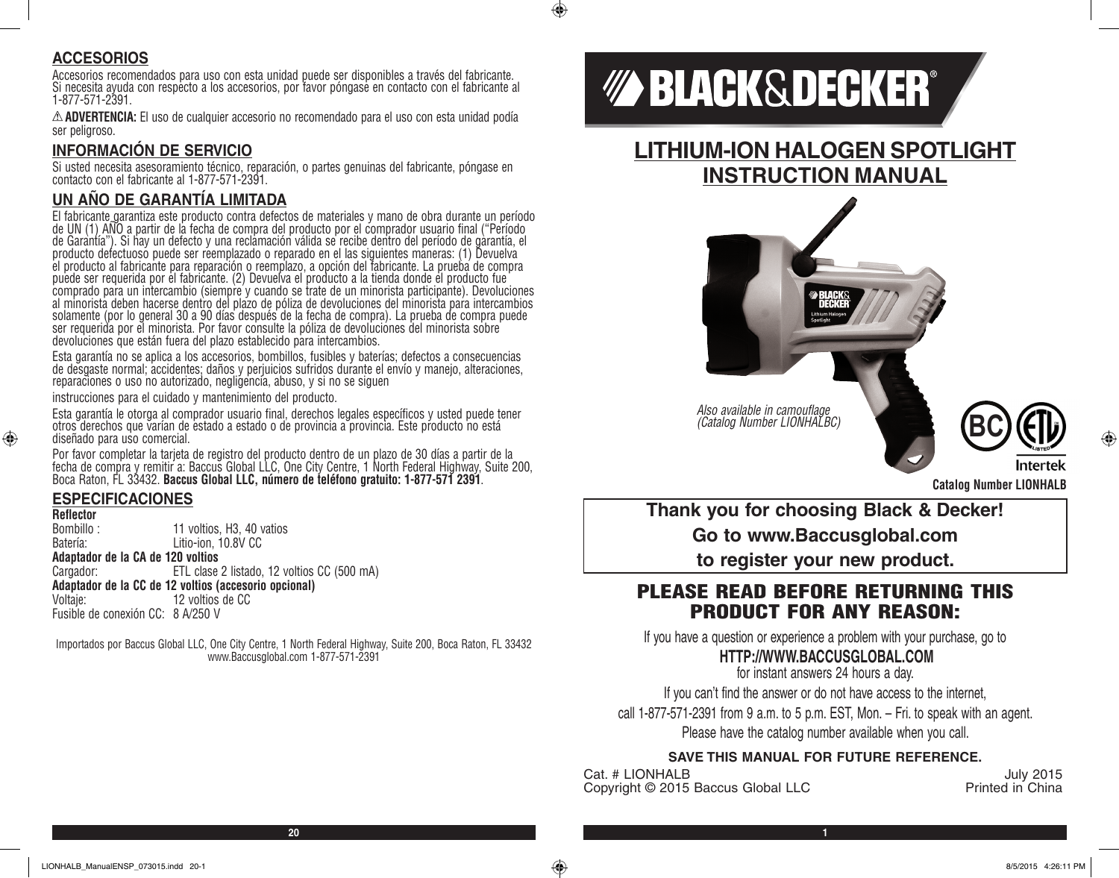#### **ACCESORIOS**

Accesorios recomendados para uso con esta unidad puede ser disponibles a través del fabricante. Si necesita ayuda con respecto a los accesorios, por favor póngase en contacto con el fabricante al 1-877-571-2391.

**ADVERTENCIA:** El uso de cualquier accesorio no recomendado para el uso con esta unidad podía ser peligroso.

#### **INFORMACIÓN DE SERVICIO**

Si usted necesita asesoramiento técnico, reparación, o partes genuinas del fabricante, póngase en contacto con el fabricante al 1-877-571-2391.

#### **UN AÑO DE GARANTÍA LIMITADA**

El fabricante garantiza este producto contra defectos de materiales y mano de obra durante un período<br>de UN (1) AÑO a partir de la fecha de compra del producto por el comprador usuario final ("Período de Garantía"). Si hay un defecto y una reclamación válida se recibe dentro del período de garantía, el producto defectuoso puede ser reemplazado o reparado en el las siguientes maneras: (1) Devuelva el producto al fabricante para reparación o reemplazo, a opción del fabricante. La prueba de compra puede ser requerida por el fabricante. (2) Devuelva el producto a la tienda donde el producto fue comprado para un intercambio (siempre y cuando se trate de un minorista participante). Devoluciones al minorista deben hacerse dentro del plazo de póliza de devoluciones del minorista para intercambios solamente (por lo general 30 a 90 días después de la fecha de compra). La prueba de compra puede ser requerida por el minorista. Por favor consulte la póliza de devoluciones del minorista sobre devoluciones que están fuera del plazo establecido para intercambios.

Esta garantía no se aplica a los accesorios, bombillos, fusibles y baterías; defectos a consecuencias de desgaste normal; accidentes; daños y perjuicios sufridos durante el envío y manejo, alteraciones, reparaciones o uso no autorizado, negligencia, abuso, y si no se siguen

instrucciones para el cuidado y mantenimiento del producto.

Esta garantía le otorga al comprador usuario final, derechos legales específicos y usted puede tener otros derechos que varían de estado a estado o de provincia a provincia. Este producto no está diseñado para uso comercial.

Por favor completar la tarjeta de registro del producto dentro de un plazo de 30 días a partir de la fecha de compra y remitir a: Baccus Global LLC, One City Centre, 1 North Federal Highway, Suite 200, Boca Raton, FL 33432. **Baccus Global LLC, número de teléfono gratuito: 1-877-571 2391**.

#### **ESPECIFICACIONES**

**Reflector**

⊕

11 voltios, H3, 40 vatios Batería: Litio-ion, 10.8V CC

**Adaptador de la CA de 120 voltios**

Cargador: ETL clase 2 listado, 12 voltios CC (500 mA) **Adaptador de la CC de 12 voltios (accesorio opcional)** 12 voltios de CC

Fusible de conexión CC: 8 A/250 V

Importados por Baccus Global LLC, One City Centre, 1 North Federal Highway, Suite 200, Boca Raton, FL 33432 www.Baccusglobal.com 1-877-571-2391

# *MA BLACK&DECKER®*

 $\bigcirc$ 

### **LITHIUM-ION HALOGEN SPOTLIGHT INSTRUCTION MANUAL**



*Also available in camouflage (Catalog Number LIONHALBC)* 



**Catalog Number LIONHALB**

**Thank you for choosing Black & Decker!**

**Go to www.Baccusglobal.com**

**to register your new product.**

#### PLEASE READ BEFORE RETURNING THIS PRODUCT FOR ANY REASON:

If you have a question or experience a problem with your purchase, go to

#### **HTTP://WWW.BACCUSGLOBAL.COM**

for instant answers 24 hours a day.

If you can't find the answer or do not have access to the internet,

call 1-877-571-2391 from 9 a.m. to 5 p.m. EST, Mon. – Fri. to speak with an agent.

Please have the catalog number available when you call.

#### **SAVE THIS MANUAL FOR FUTURE REFERENCE.**

Cat. # LIONHALB July 2015<br>Convright © 2015 Baccus Global I I C Printed in China Copyright © 2015 Baccus Global LLC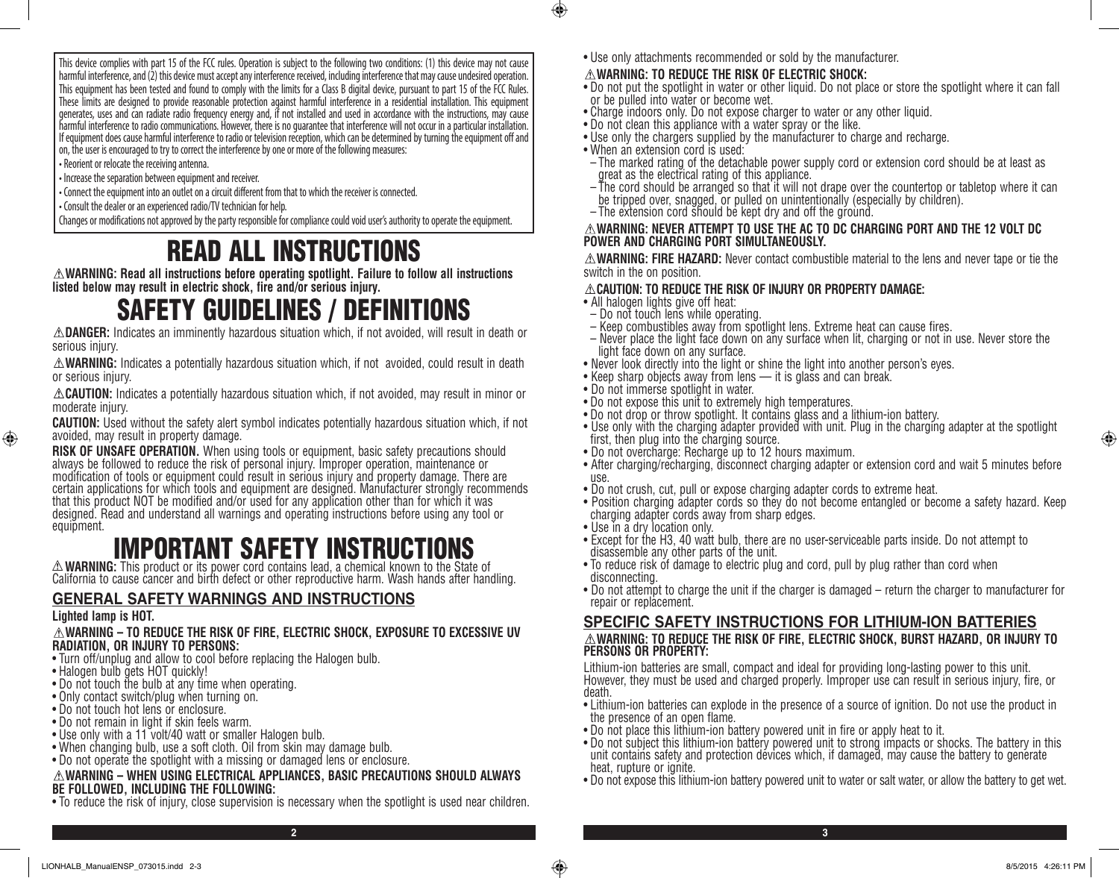This device complies with part 15 of the FCC rules. Operation is subject to the following two conditions: (1) this device may not cause harmful interference, and (2) this device must accept any interference received, including interference that may cause undesired operation. This equipment has been tested and found to comply with the limits for a Class B digital device, pursuant to part 15 of the FCC Rules. These limits are designed to provide reasonable protection against harmful interference in a residential installation. This equipment generates, uses and can radiate radio frequency energy and, if not installed and used in accordance with the instructions, may cause harmful interference to radio communications. However, there is no guarantee that interference will not occur in a particular installation. If equipment does cause harmful interference to radio or television reception, which can be determined by turning the equipment off and on, the user is encouraged to try to correct the interference by one or more of the following measures:

- Reorient or relocate the receiving antenna.
- Increase the separation between equipment and receiver.
- Connect the equipment into an outlet on a circuit different from that to which the receiver is connected.
- Consult the dealer or an experienced radio/TV technician for help.

Changes or modifications not approved by the party responsible for compliance could void user's authority to operate the equipment.

# READ ALL INSTRUCTIONS

**WARNING: Read all instructions before operating spotlight. Failure to follow all instructions listed below may result in electric shock, fire and/or serious injury.**

# SAFETY GUIDELINES / DEFINITIONS

**DANGER:** Indicates an imminently hazardous situation which, if not avoided, will result in death or serious injury.

**WARNING:** Indicates a potentially hazardous situation which, if not avoided, could result in death or serious injury.

**CAUTION:** Indicates a potentially hazardous situation which, if not avoided, may result in minor or moderate injury.

**CAUTION:** Used without the safety alert symbol indicates potentially hazardous situation which, if not avoided, may result in property damage.

**RISK OF UNSAFE OPERATION.** When using tools or equipment, basic safety precautions should<br>always be followed to reduce the risk of personal injury. Improper operation, maintenance or modification of tools or equipment could result in serious injury and property damage. There are certain applications for which tools and equipment are designed. Manufacturer strongly recommends that this product NOT be modified and/or used for any application other than for which it was designed. Read and understand all warnings and operating instructions before using any tool or equipment.

# **EXAMPORTANT SAFETY INSTRUCTIONS**<br>A WARNING: This product or its power cord contains lead, a chemical known to the State of

**WARNING:** This product or its power cord contains lead, a chemical known to the State of California to cause cancer and birth defect or other reproductive harm. Wash hands after handling.

#### **GENERAL SAFETY WARNINGS AND INSTRUCTIONS**

#### **Lighted lamp is HOT.**

⊕

**WARNING – TO REDUCE THE RISK OF FIRE, ELECTRIC SHOCK, EXPOSURE TO EXCESSIVE UV RADIATION, OR INJURY TO PERSONS:**

- Turn off/unplug and allow to cool before replacing the Halogen bulb.
- Halogen bulb gets HOT quickly!
- Do not touch the bulb at any time when operating.
- Only contact switch/plug when turning on.
- Do not touch hot lens or enclosure.
- Do not remain in light if skin feels warm.
- Use only with a 11 volt/40 watt or smaller Halogen bulb.
- When changing bulb, use a soft cloth. Oil from skin may damage bulb.
- Do not operate the spotlight with a missing or damaged lens or enclosure.

#### **WARNING – WHEN USING ELECTRICAL APPLIANCES, BASIC PRECAUTIONS SHOULD ALWAYS BE FOLLOWED, INCLUDING THE FOLLOWING:**

• To reduce the risk of injury, close supervision is necessary when the spotlight is used near children.

• Use only attachments recommended or sold by the manufacturer.

#### **WARNING: TO REDUCE THE RISK OF ELECTRIC SHOCK:**

- Do not put the spotlight in water or other liquid. Do not place or store the spotlight where it can fall or be pulled into water or become wet.
- Charge indoors only. Do not expose charger to water or any other liquid.
- Do not clean this appliance with a water spray or the like.
- Use only the chargers supplied by the manufacturer to charge and recharge.
- When an extension cord is used:

 $\bigcirc$ 

- The marked rating of the detachable power supply cord or extension cord should be at least as great as the electrical rating of this appliance.
- The cord should be arranged so that it will not drape over the countertop or tabletop where it can be tripped over, snagged, or pulled on unintentionally (especially by children).
- The extension cord should be kept dry and off the ground.

#### **WARNING: NEVER ATTEMPT TO USE THE AC TO DC CHARGING PORT AND THE 12 VOLT DC POWER AND CHARGING PORT SIMULTANEOUSLY.**

**WARNING: FIRE HAZARD:** Never contact combustible material to the lens and never tape or tie the switch in the on position.

#### **CAUTION: TO REDUCE THE RISK OF INJURY OR PROPERTY DAMAGE:**

- All halogen lights give off heat:
- Do not touch lens while operating.
- Keep combustibles away from spotlight lens. Extreme heat can cause fires.
- Never place the light face down on any surface when lit, charging or not in use. Never store the light face down on any surface.
- Never look directly into the light or shine the light into another person's eyes.
- Keep sharp objects away from lens it is glass and can break.
- Do not immerse spotlight in water.
- Do not expose this unit to extremely high temperatures.
- Do not drop or throw spotlight. It contains glass and a lithium-ion battery.
- Use only with the charging adapter provided with unit. Plug in the charging adapter at the spotlight first, then plug into the charging source.
- Do not overcharge: Recharge up to 12 hours maximum.
- After charging/recharging, disconnect charging adapter or extension cord and wait 5 minutes before use.
- Do not crush, cut, pull or expose charging adapter cords to extreme heat.
- Position charging adapter cords so they do not become entangled or become a safety hazard. Keep charging adapter cords away from sharp edges.
- Use in a dry location only.
- Except for the H3, 40 watt bulb, there are no user-serviceable parts inside. Do not attempt to disassemble any other parts of the unit.
- To reduce risk of damage to electric plug and cord, pull by plug rather than cord when disconnecting.
- Do not attempt to charge the unit if the charger is damaged return the charger to manufacturer for repair or replacement.

#### **SPECIFIC SAFETY INSTRUCTIONS FOR LITHIUM-ION BATTERIES**

#### **WARNING: TO REDUCE THE RISK OF FIRE, ELECTRIC SHOCK, BURST HAZARD, OR INJURY TO PERSONS OR PROPERTY:**

Lithium-ion batteries are small, compact and ideal for providing long-lasting power to this unit. However, they must be used and charged properly. Improper use can result in serious injury, fire, or death.

- Lithium-ion batteries can explode in the presence of a source of ignition. Do not use the product in the presence of an open flame.
- Do not place this lithium-ion battery powered unit in fire or apply heat to it.
- Do not subject this lithium-ion battery powered unit to strong impacts or shocks. The battery in this unit contains safety and protection devices which, if damaged, may cause the battery to generate heat, rupture or ignite.
- Do not expose this lithium-ion battery powered unit to water or salt water, or allow the battery to get wet.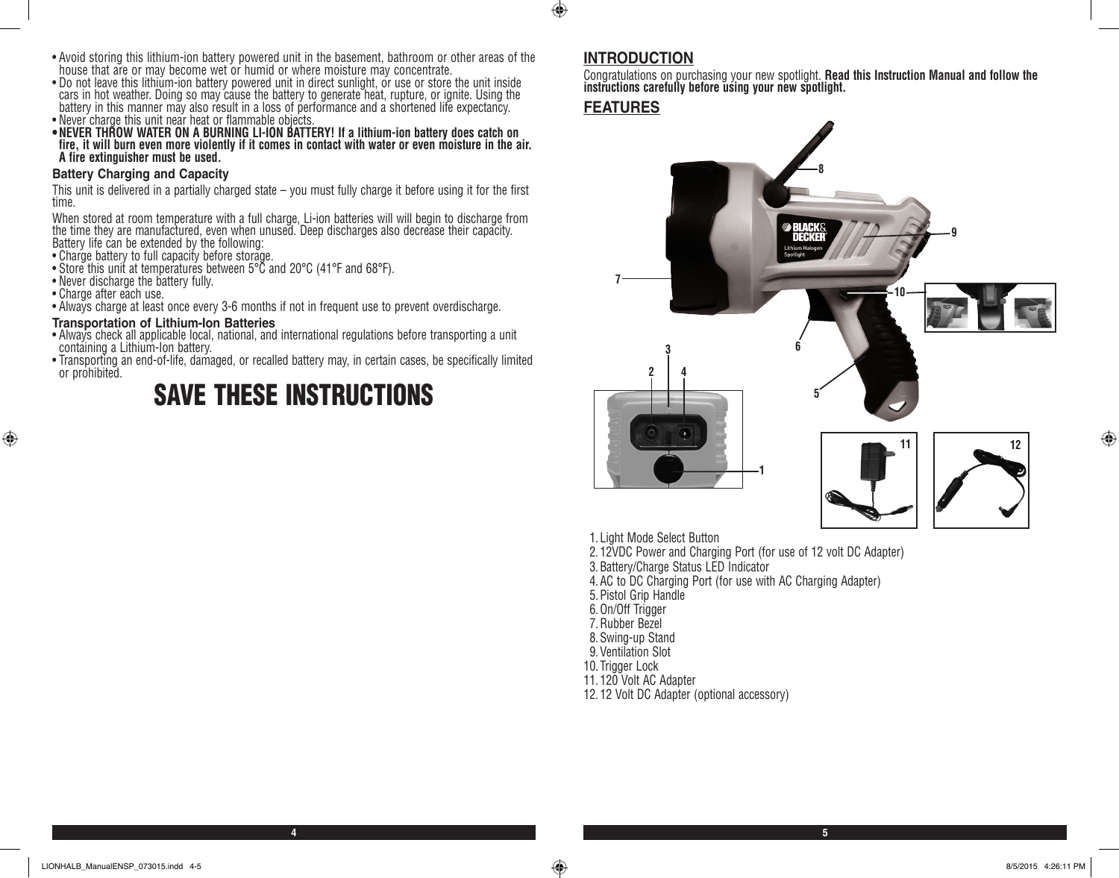- Avoid storing this lithium-ion battery powered unit in the basement, bathroom or other areas of the house that are or may become wet or humid or where moisture may concentrate.
- Do not leave this lithium-ion battery powered unit in direct sunlight, or use or store the unit inside cars in hot weather. Doing so may cause the battery to generate heat, rupture, or ignite. Using the battery in this manner may also result in a loss of performance and a shortened life expectancy.
- Never charge this unit near heat or flammable objects.
- **•NEVER THROW WATER ON A BURNING LI-ION BATTERY! If a lithium-ion battery does catch on fire, it will burn even more violently if it comes in contact with water or even moisture in the air. A fire extinguisher must be used.**

#### **Battery Charging and Capacity**

This unit is delivered in a partially charged state – you must fully charge it before using it for the first time.

When stored at room temperature with a full charge, Li-ion batteries will will begin to discharge from the time they are manufactured, even when unused. Deep discharges also decrease their capacity. Battery life can be extended by the following:

• Charge battery to full capacity before storage.

- Store this unit at temperatures between 5°C and 20°C (41°F and 68°F).
- Never discharge the battery fully.
- Charge after each use.

 $\bigoplus$ 

• Always charge at least once every 3-6 months if not in frequent use to prevent overdischarge.

#### **Transportation of Lithium-Ion Batteries**

- Always check all applicable local, national, and international regulations before transporting a unit containing a Lithium-Ion battery.
- Transporting an end-of-life, damaged, or recalled battery may, in certain cases, be specifically limited or prohibited.

## SAVE THESE INSTRUCTIONS

#### **INTRODUCTION**

Congratulations on purchasing your new spotlight. **Read this Instruction Manual and follow the instructions carefully before using your new spotlight.**

#### **FEATURES**

 $\bigoplus$ 



- 1. Light Mode Select Button
- 2. 12VDC Power and Charging Port (for use of 12 volt DC Adapter)
- 3.Battery/Charge Status LED Indicator
- 4.AC to DC Charging Port (for use with AC Charging Adapter)
- 5.Pistol Grip Handle
- 6.On/Off Trigger
- 7.Rubber Bezel
- 8.Swing-up Stand
- 9.Ventilation Slot
- 10. Trigger Lock

**4 5**

- 11. 120 Volt AC Adapter
- 12. 12 Volt DC Adapter (optional accessory)

⊕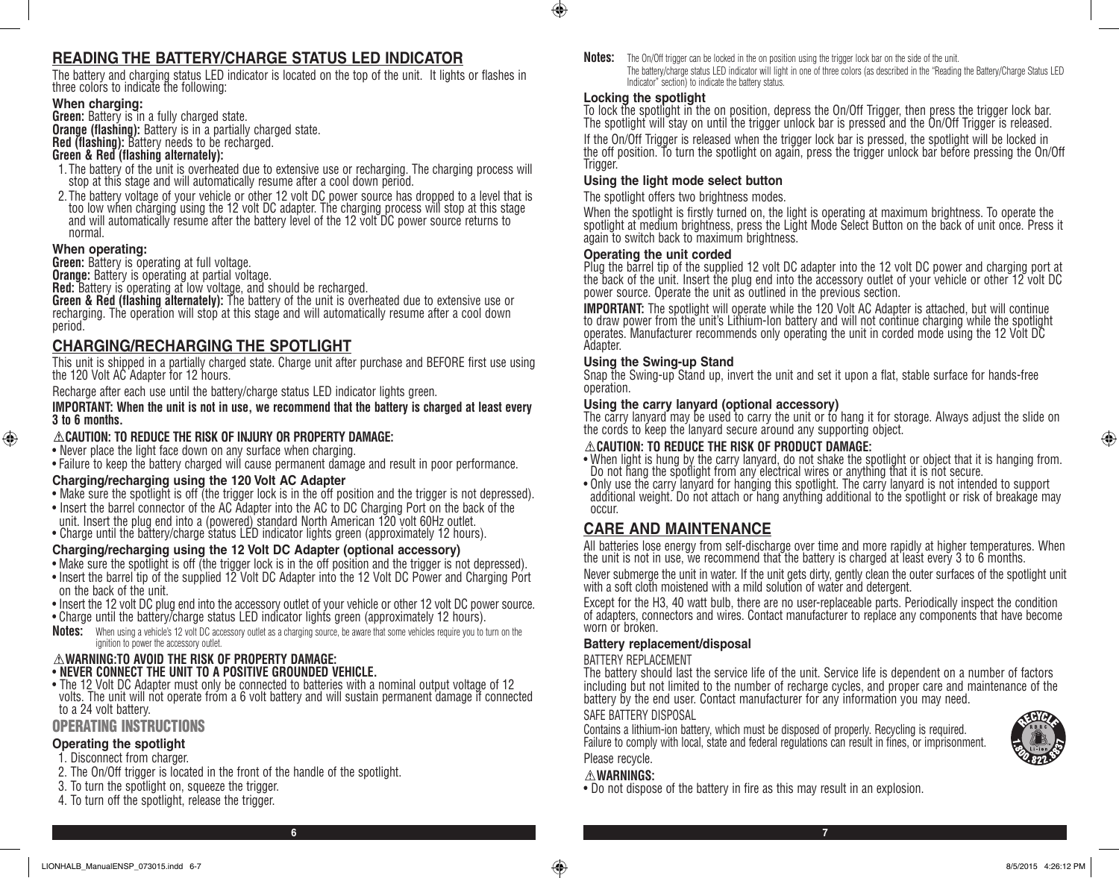#### **READING THE BATTERY/CHARGE STATUS LED INDICATOR**

The battery and charging status LED indicator is located on the top of the unit. It lights or flashes in three colors to indicate the following:

#### **When charging:**

**Green:** Battery is in a fully charged state. **Orange (flashing):** Battery is in a partially charged state. **Red (flashing):** Battery needs to be recharged.

#### **Green & Red (flashing alternately):**

- 1. The battery of the unit is overheated due to extensive use or recharging. The charging process will stop at this stage and will automatically resume after a cool down period.
- 2. The battery voltage of your vehicle or other 12 volt DC power source has dropped to a level that is too low when charging using the 12 volt DC adapter. The charging process will stop at this stage and will automatically resume after the battery level of the 12 volt DC power source returns to normal.

#### **When operating:**

⊕

**Green:** Battery is operating at full voltage.

**Orange:** Battery is operating at partial voltage.

**Red:** Battery is operating at low voltage, and should be recharged.

**Green & Red (flashing alternately):** The battery of the unit is overheated due to extensive use or recharging. The operation will stop at this stage and will automatically resume after a cool down period.

#### **CHARGING/RECHARGING THE SPOTLIGHT**

This unit is shipped in a partially charged state. Charge unit after purchase and BEFORE first use using the 120 Volt AC Adapter for 12 hours.

Recharge after each use until the battery/charge status LED indicator lights green.

**IMPORTANT: When the unit is not in use, we recommend that the battery is charged at least every 3 to 6 months.**

#### **CAUTION: TO REDUCE THE RISK OF INJURY OR PROPERTY DAMAGE:**

• Never place the light face down on any surface when charging.

• Failure to keep the battery charged will cause permanent damage and result in poor performance.

#### **Charging/recharging using the 120 Volt AC Adapter**

- Make sure the spotlight is off (the trigger lock is in the off position and the trigger is not depressed).
- Insert the barrel connector of the AC Adapter into the AC to DC Charging Port on the back of the unit. Insert the plug end into a (powered) standard North American 120 volt 60Hz outlet.
- Charge until the battery/charge status LED indicator lights green (approximately 12 hours).

#### **Charging/recharging using the 12 Volt DC Adapter (optional accessory)**

- Make sure the spotlight is off (the trigger lock is in the off position and the trigger is not depressed).
- Insert the barrel tip of the supplied 12 Volt DC Adapter into the 12 Volt DC Power and Charging Port on the back of the unit.
- Insert the 12 volt DC plug end into the accessory outlet of your vehicle or other 12 volt DC power source.
- Charge until the battery/charge status LED indicator lights green (approximately 12 hours).
- **Notes:** When using a vehicle's 12 volt DC accessory outlet as a charging source, be aware that some vehicles require you to turn on the ignition to power the accessory outlet.

#### **WARNING:TO AVOID THE RISK OF PROPERTY DAMAGE:**

#### • **NEVER CONNECT THE UNIT TO A POSITIVE GROUNDED VEHICLE.**

• The 12 Volt DC Adapter must only be connected to batteries with a nominal output voltage of 12 volts. The unit will not operate from a 6 volt battery and will sustain permanent damage if connected to a 24 volt battery.

#### OPERATING INSTRUCTIONS

#### **Operating the spotlight**

- 1. Disconnect from charger.
- 2. The On/Off trigger is located in the front of the handle of the spotlight.
- 3. To turn the spotlight on, squeeze the trigger.
- 4. To turn off the spotlight, release the trigger.

**Notes:** The On/Off trigger can be locked in the on position using the trigger lock bar on the side of the unit. The battery/charge status LED indicator will light in one of three colors (as described in the "Reading the Battery/Charge Status LED Indicator" section) to indicate the battery status.

#### **Locking the spotlight**

 $\bigcirc$ 

To lock the spotlight in the on position, depress the On/Off Trigger, then press the trigger lock bar. The spotlight will stay on until the trigger unlock bar is pressed and the On/Off Trigger is released.

If the On/Off Trigger is released when the trigger lock bar is pressed, the spotlight will be locked in the off position. To turn the spotlight on again, press the trigger unlock bar before pressing the On/Off Trigger.

#### **Using the light mode select button**

#### The spotlight offers two brightness modes.

When the spotlight is firstly turned on, the light is operating at maximum brightness. To operate the spotlight at medium brightness, press the Light Mode Select Button on the back of unit once. Press it again to switch back to maximum brightness.

#### **Operating the unit corded**

Plug the barrel tip of the supplied 12 volt DC adapter into the 12 volt DC power and charging port at the back of the unit. Insert the plug end into the accessory outlet of your vehicle or other 12 volt DC power source. Operate the unit as outlined in the previous section.

**IMPORTANT:** The spotlight will operate while the 120 Volt AC Adapter is attached, but will continue to draw power from the unit's Lithium-Ion battery and will not continue charging while the spotlight operates. Manufacturer recommends only operating the unit in corded mode using the 12 Volt DC Adapter.

#### **Using the Swing-up Stand**

Snap the Swing-up Stand up, invert the unit and set it upon a flat, stable surface for hands-free operation.

#### **Using the carry lanyard (optional accessory)**

The carry lanyard may be used to carry the unit or to hang it for storage. Always adjust the slide on the cords to keep the lanyard secure around any supporting object.

#### **CAUTION: TO REDUCE THE RISK OF PRODUCT DAMAGE:**

- When light is hung by the carry lanyard, do not shake the spotlight or object that it is hanging from. Do not hang the spotlight from any electrical wires or anything that it is not secure.
- Only use the carry lanyard for hanging this spotlight. The carry lanyard is not intended to support additional weight. Do not attach or hang anything additional to the spotlight or risk of breakage may occur.

#### **CARE AND MAINTENANCE**

All batteries lose energy from self-discharge over time and more rapidly at higher temperatures. When the unit is not in use, we recommend that the battery is charged at least every 3 to 6 months.

Never submerge the unit in water. If the unit gets dirty, gently clean the outer surfaces of the spotlight unit with a soft cloth moistened with a mild solution of water and detergent.

Except for the H3, 40 watt bulb, there are no user-replaceable parts. Periodically inspect the condition of adapters, connectors and wires. Contact manufacturer to replace any components that have become worn or broken.

#### **Battery replacement/disposal**

#### BATTERY REPLACEMENT

The battery should last the service life of the unit. Service life is dependent on a number of factors including but not limited to the number of recharge cycles, and proper care and maintenance of the battery by the end user. Contact manufacturer for any information you may need.

#### SAFE BATTERY DISPOSAL

Contains a lithium-ion battery, which must be disposed of properly. Recycling is required. Failure to comply with local, state and federal regulations can result in fines, or imprisonment. Please recycle.

#### **WARNINGS:**

• Do not dispose of the battery in fire as this may result in an explosion.



⊕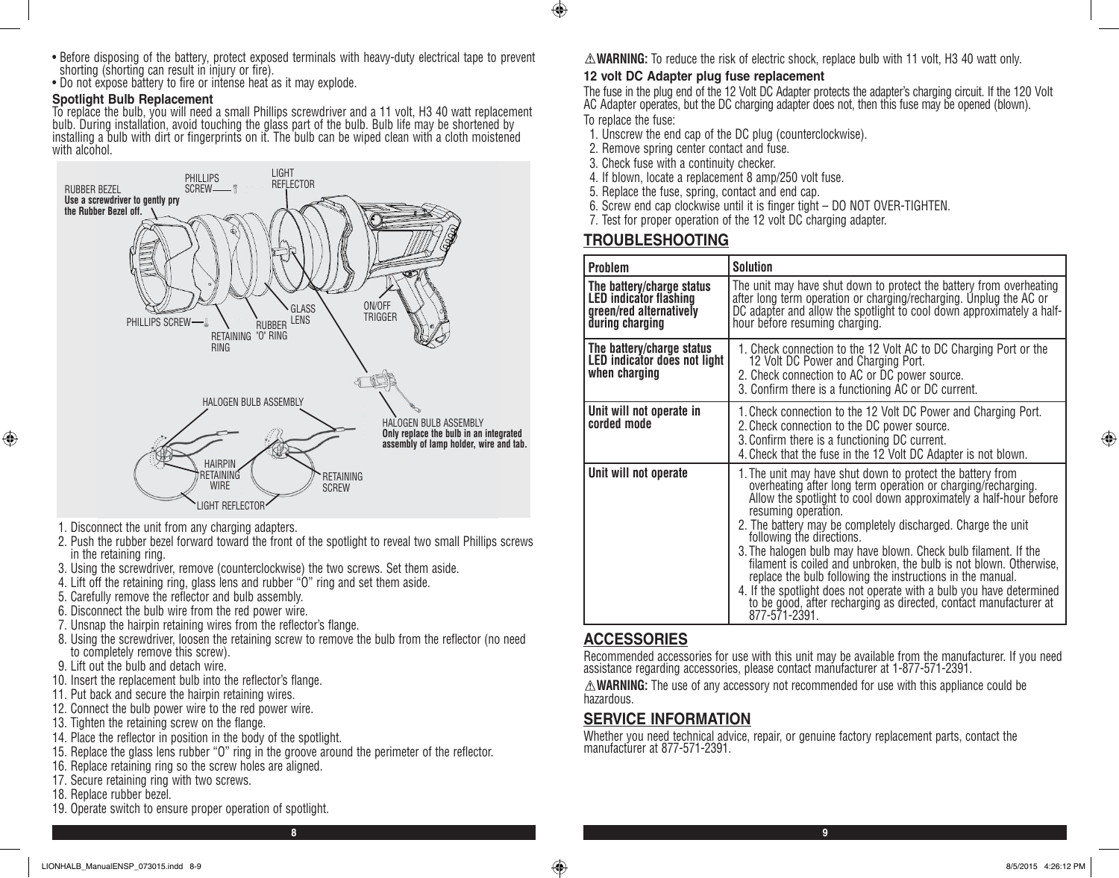- Before disposing of the battery, protect exposed terminals with heavy-duty electrical tape to prevent shorting (shorting can result in injury or fire).
- Do not expose battery to fire or intense heat as it may explode.

#### **Spotlight Bulb Replacement**

To replace the bulb, you will need a small Phillips screwdriver and a 11 volt, H3 40 watt replacement bulb. During installation, avoid touching the glass part of the bulb. Bulb life may be shortened by installing a bulb with dirt or fingerprints on it. The bulb can be wiped clean with a cloth moistened with alcohol.



- 1. Disconnect the unit from any charging adapters.
- 2. Push the rubber bezel forward toward the front of the spotlight to reveal two small Phillips screws in the retaining ring.
- 3. Using the screwdriver, remove (counterclockwise) the two screws. Set them aside.
- 4. Lift off the retaining ring, glass lens and rubber "O" ring and set them aside.
- 5. Carefully remove the reflector and bulb assembly.
- 6. Disconnect the bulb wire from the red power wire.
- 7. Unsnap the hairpin retaining wires from the reflector's flange.
- 8. Using the screwdriver, loosen the retaining screw to remove the bulb from the reflector (no need to completely remove this screw).
- 9. Lift out the bulb and detach wire.
- 10. Insert the replacement bulb into the reflector's flange.
- 11. Put back and secure the hairpin retaining wires.
- 12. Connect the bulb power wire to the red power wire.
- 13. Tighten the retaining screw on the flange.
- 14. Place the reflector in position in the body of the spotlight.
- 15. Replace the glass lens rubber "O" ring in the groove around the perimeter of the reflector.
- 16. Replace retaining ring so the screw holes are aligned.
- 17. Secure retaining ring with two screws.
- 18. Replace rubber bezel.

⊕

19. Operate switch to ensure proper operation of spotlight.

**WARNING:** To reduce the risk of electric shock, replace bulb with 11 volt, H3 40 watt only.

#### **12 volt DC Adapter plug fuse replacement**

The fuse in the plug end of the 12 Volt DC Adapter protects the adapter's charging circuit. If the 120 Volt AC Adapter operates, but the DC charging adapter does not, then this fuse may be opened (blown). To replace the fuse:

- 1. Unscrew the end cap of the DC plug (counterclockwise).
- 2. Remove spring center contact and fuse.
- 3. Check fuse with a continuity checker.
- 4. If blown, locate a replacement 8 amp/250 volt fuse.
- 5. Replace the fuse, spring, contact and end cap.
- 6. Screw end cap clockwise until it is finger tight DO NOT OVER-TIGHTEN.
- 7. Test for proper operation of the 12 volt DC charging adapter.

#### **TROUBLESHOOTING**

 $\bigoplus$ 

| <b>Problem</b>                                                                                           | <b>Solution</b>                                                                                                                                                                                                                                                                                                                                                                                                                                                                                                                                                                                                                                                                           |
|----------------------------------------------------------------------------------------------------------|-------------------------------------------------------------------------------------------------------------------------------------------------------------------------------------------------------------------------------------------------------------------------------------------------------------------------------------------------------------------------------------------------------------------------------------------------------------------------------------------------------------------------------------------------------------------------------------------------------------------------------------------------------------------------------------------|
| The battery/charge status<br><b>LED</b> indicator flashing<br>green/red alternatively<br>during charging | The unit may have shut down to protect the battery from overheating<br>after long term operation or charging/recharging. Unplug the AC or<br>DC adapter and allow the spotlight to cool down approximately a half-<br>hour before resuming charging.                                                                                                                                                                                                                                                                                                                                                                                                                                      |
| The battery/charge status<br>LED indicator does not light<br>when charging                               | 1. Check connection to the 12 Volt AC to DC Charging Port or the<br>12 Volt DC Power and Charging Port.<br>2. Check connection to AC or DC power source.<br>3. Confirm there is a functioning AC or DC current.                                                                                                                                                                                                                                                                                                                                                                                                                                                                           |
| Unit will not operate in<br>corded mode                                                                  | 1. Check connection to the 12 Volt DC Power and Charging Port.<br>2. Check connection to the DC power source.<br>3. Confirm there is a functioning DC current.<br>4. Check that the fuse in the 12 Volt DC Adapter is not blown.                                                                                                                                                                                                                                                                                                                                                                                                                                                          |
| Unit will not operate                                                                                    | 1. The unit may have shut down to protect the battery from<br>overheating after long term operation or charging/recharging.<br>Allow the spotlight to cool down approximately a half-hour before<br>resuming operation.<br>2. The battery may be completely discharged. Charge the unit<br>following the directions.<br>3. The halogen bulb may have blown. Check bulb filament. If the<br>filament is coiled and unbroken, the bulb is not blown. Otherwise,<br>replace the bulb following the instructions in the manual.<br>4. If the spotlight does not operate with a bulb you have determined<br>to be good, after recharging as directed, contact manufacturer at<br>877-571-2391. |

#### **ACCESSORIES**

Recommended accessories for use with this unit may be available from the manufacturer. If you need assistance regarding accessories, please contact manufacturer at 1-877-571-2391.

**WARNING:** The use of any accessory not recommended for use with this appliance could be hazardous.

#### **SERVICE INFORMATION**

Whether you need technical advice, repair, or genuine factory replacement parts, contact the manufacturer at 877-571-2391.

♠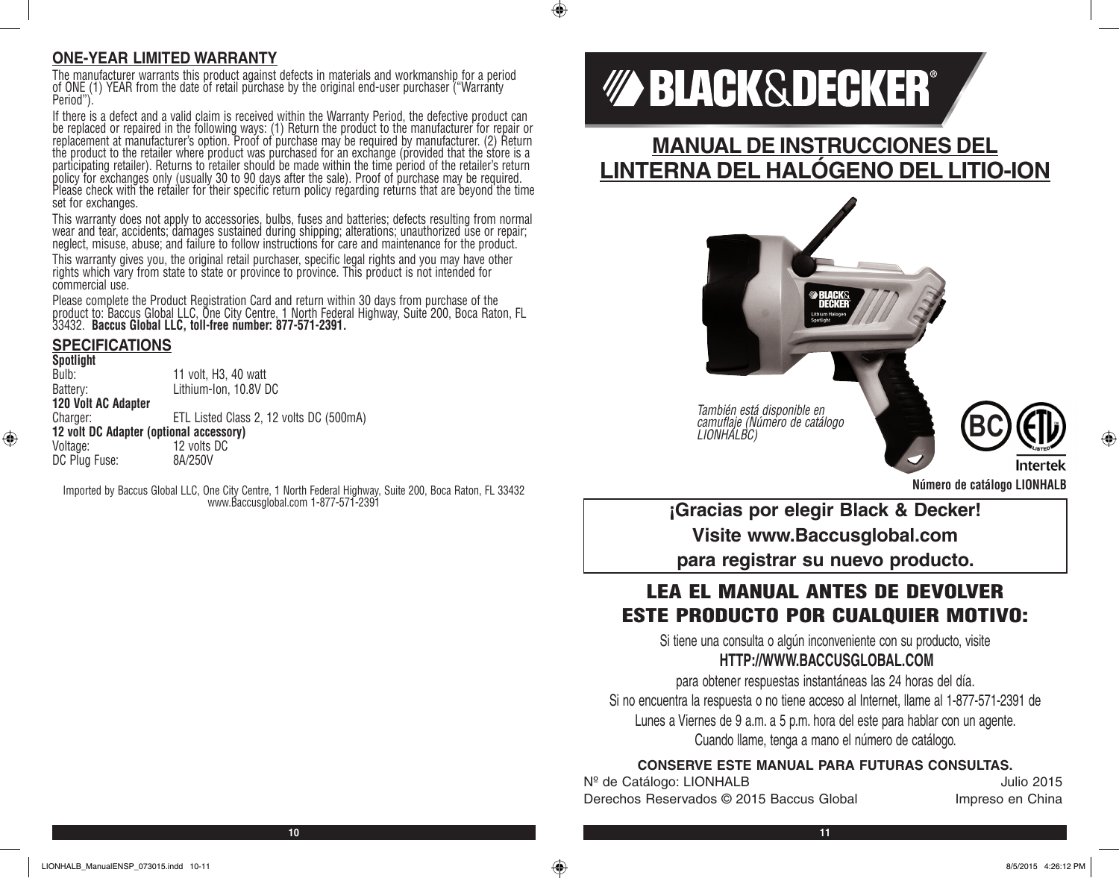#### **ONE-YEAR LIMITED WARRANTY**

The manufacturer warrants this product against defects in materials and workmanship for a period of ONE (1) YEAR from the date of retail purchase by the original end-user purchaser ("Warranty Period").

If there is a defect and a valid claim is received within the Warranty Period, the defective product can be replaced or repaired in the following ways: (1) Return the product to the manufacturer for repair or replacement at manufacturer's option. Proof of purchase may be required by manufacturer. (2) Return the product to the retailer where product was purchased for an exchange (provided that the store is a participating retailer). Returns to retailer should be made within the time period of the retailer's return policy for exchanges only (usually 30 to 90 days after the sale). Proof of purchase may be required. Please check with the retailer for their specific return policy regarding returns that are beyond the time set for exchanges.

This warranty does not apply to accessories, bulbs, fuses and batteries; defects resulting from normal wear and tear, accidents; damages sustained during shipping; alterations; unauthorized use or repair; neglect, misuse, abuse; and failure to follow instructions for care and maintenance for the product.

This warranty gives you, the original retail purchaser, specific legal rights and you may have other rights which vary from state to state or province to province. This product is not intended for commercial use.

Please complete the Product Registration Card and return within 30 days from purchase of the product to: Baccus Global LLC, One City Centre, 1 North Federal Highway, Suite 200, Boca Raton, FL 33432. **Baccus Global LLC, toll-free number: 877-571-2391.**

#### **SPECIFICATIONS**

⊕

**Spotlight** 11 volt, H3, 40 watt Battery: Lithium-Ion, 10.8V DC **120 Volt AC Adapter** Charger: ETL Listed Class 2, 12 volts DC (500mA) **12 volt DC Adapter (optional accessory)** Voltage: 12 volts DC<br>DC Plug Fuse: 8A/250V DC Plug Fuse:

Imported by Baccus Global LLC, One City Centre, 1 North Federal Highway, Suite 200, Boca Raton, FL 33432 www.Baccusglobal.com 1-877-571-2391

# *MA BLACK&DECKER®*

 $\bigcirc$ 

**MANUAL DE INSTRUCCIONES DEL LINTERNA DEL HALÓGENO DEL LITIO-ION**



*También está disponible en camuflaje (Número de catálogo LIONHALBC)* **BC**



**Número de catálogo LIONHALB**

**¡Gracias por elegir Black & Decker! Visite www.Baccusglobal.com para registrar su nuevo producto.**

### LEA EL MANUAL ANTES DE DEVOLVER ESTE PRODUCTO POR CUALQUIER MOTIVO:

Si tiene una consulta o algún inconveniente con su producto, visite **HTTP://WWW.BACCUSGLOBAL.COM**

para obtener respuestas instantáneas las 24 horas del día. Si no encuentra la respuesta o no tiene acceso al Internet, llame al 1-877-571-2391 de Lunes a Viernes de 9 a.m. a 5 p.m. hora del este para hablar con un agente. Cuando llame, tenga a mano el número de catálogo.

#### **CONSERVE ESTE MANUAL PARA FUTURAS CONSULTAS.**

N<sup>o</sup> de Catálogo: LIONHALB Julio 2015 Derechos Reservados © 2015 Baccus Global Impreso en China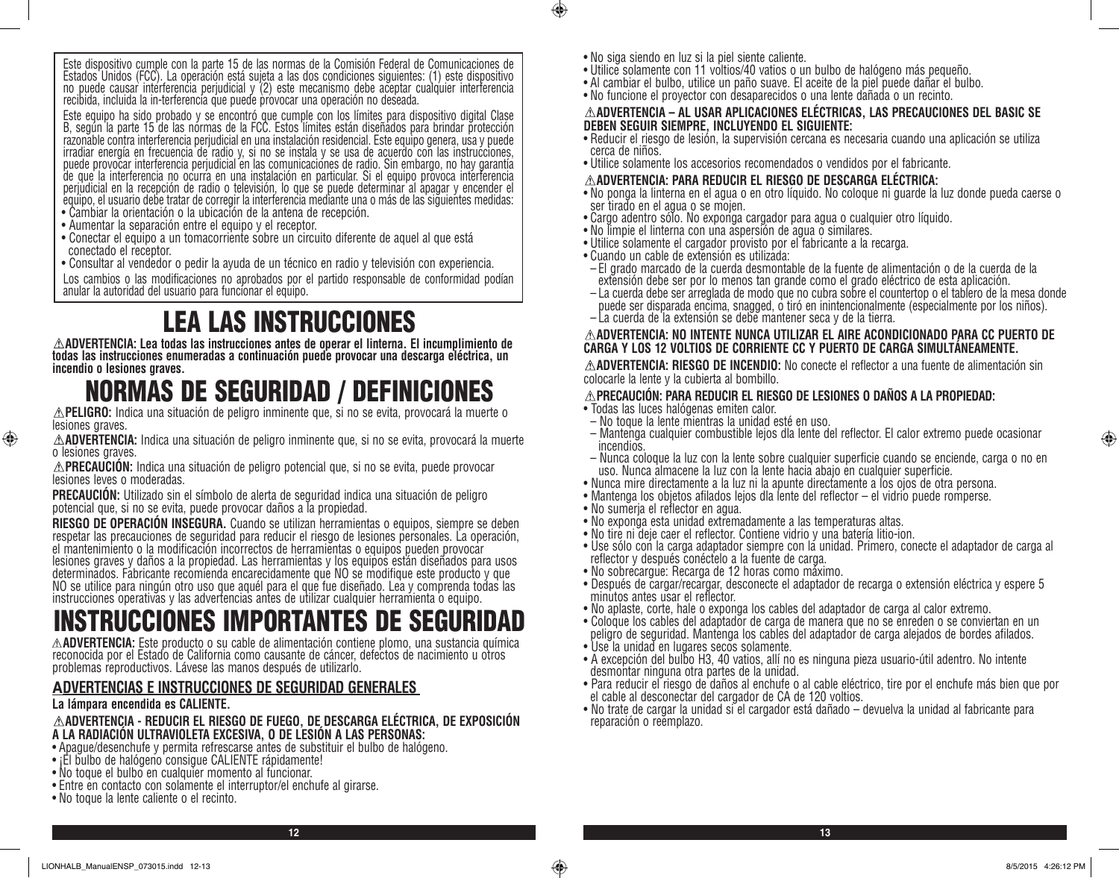Este dispositivo cumple con la parte 15 de las normas de la Comisión Federal de Comunicaciones de Estados Unidos (FCC). La operación está sujeta a las dos condiciones siguientes: (1) este dispositivo no puede causar interferencia perjudicial y (2) este mecanismo debe aceptar cualquier interferencia recibida, incluida la in-terferencia que puede provocar una operación no deseada.

Este equipo ha sido probado y se encontró que cumple con los límites para dispositivo digital Clase B, según la parte 15 de las normas de la FCC. Estos límites están diseñados para brindar protección razonable contra interferencia perjudicial en una instalación residencial. Este equipo genera, usa y puede irradiar energía en frecuencia de radio y, si no se instala y se usa de acuerdo con las instrucciones, puede provocar interferencia perjudicial en las comunicaciones de radio. Sin embargo, no hay garantía de que la interferencia no ocurra en una instalación en particular. Si el equipo provoca interferencia perjudicial en la recepción de radio o televisión, lo que se puede determinar al apagar y encender el equipo, el usuario debe tratar de corregir la interferencia mediante una o más de las siguientes medidas:

- Cambiar la orientación o la ubicación de la antena de recepción.
- Aumentar la separación entre el equipo y el receptor.
- Conectar el equipo a un tomacorriente sobre un circuito diferente de aquel al que está conectado el receptor.
- Consultar al vendedor o pedir la ayuda de un técnico en radio y televisión con experiencia.

Los cambios o las modificaciones no aprobados por el partido responsable de conformidad podían anular la autoridad del usuario para funcionar el equipo.

# **ELEA LAS INSTRUCCIONES**<br> **ADVERTENCIA: Lea todas las instrucciones antes de operar el linterna. El incumplimiento de**

todas las instrucciones enumeradas a continuación puede provocar una descarga eléctrica, un **incendio o lesiones graves.**

## NORMAS DE SEGURIDAD / DEFINICIONES

**PELIGRO:** Indica una situación de peligro inminente que, si no se evita, provocará la muerte o lesiones graves.

**ADVERTENCIA:** Indica una situación de peligro inminente que, si no se evita, provocará la muerte o lesiones graves.

**PRECAUCIÓN:** Indica una situación de peligro potencial que, si no se evita, puede provocar lesiones leves o moderadas.

**PRECAUCIÓN:** Utilizado sin el símbolo de alerta de seguridad indica una situación de peligro potencial que, si no se evita, puede provocar daños a la propiedad.

**RIESGO DE OPERACION INSEGURA.** Cuando se utilizan herramientas o equipos, siempre se deben<br>respetar las precauciones de seguridad para reducir el riesgo de lesiones personales. La operación, el mantenimiento o la modificación incorrectos de herramientas o equipos pueden provocar lesiones graves y daños a la propiedad. Las herramientas y los equipos están diseñados para usos determinados. Fabricante recomienda encarecidamente que NO se modifique este producto y que NO se utilice para ningún otro uso que aquél para el que fue diseñado. Lea y comprenda todas las instrucciones operativas y las advertencias antes de utilizar cualquier herramienta o equipo.

# INSTRUCCIONES IMPORTANTES DE SEGURIDAD

**ADVERTENCIA:** Este producto o su cable de alimentación contiene plomo, una sustancia química reconocida por el Estado de California como causante de cáncer, defectos de nacimiento u otros problemas reproductivos. Lávese las manos después de utilizarlo.

#### **ADVERTENCIAS E INSTRUCCIONES DE SEGURIDAD GENERALES**

#### **La lámpara encendida es CALIENTE.**

⊕

#### **ADVERTENCIA - REDUCIR EL RIESGO DE FUEGO, DE DESCARGA ELÉCTRICA, DE EXPOSICIÓN A LA RADIACIÓN ULTRAVIOLETA EXCESIVA, O DE LESIÓN A LAS PERSONAS:**

- Apague/desenchufe y permita refrescarse antes de substituir el bulbo de halógeno.
- ¡El bulbo de halógeno consigue CALIENTE rápidamente!
- No toque el bulbo en cualquier momento al funcionar.
- Entre en contacto con solamente el interruptor/el enchufe al girarse.
- No toque la lente caliente o el recinto.

• No siga siendo en luz si la piel siente caliente.

 $\bigcirc$ 

- Utilice solamente con 11 voltios/40 vatios o un bulbo de halógeno más pequeño.
- Al cambiar el bulbo, utilice un paño suave. El aceite de la piel puede dañar el bulbo.
- No funcione el proyector con desaparecidos o una lente dañada o un recinto.

#### **ADVERTENCIA – AL USAR APLICACIONES ELÉCTRICAS, LAS PRECAUCIONES DEL BASIC SE DEBEN SEGUIR SIEMPRE, INCLUYENDO EL SIGUIENTE:**

- Reducir el riesgo de lesión, la supervisión cercana es necesaria cuando una aplicación se utiliza cerca de niños.
- Utilice solamente los accesorios recomendados o vendidos por el fabricante.

#### **ADVERTENCIA: PARA REDUCIR EL RIESGO DE DESCARGA ELÉCTRICA:**

- No ponga la linterna en el agua o en otro líquido. No coloque ni guarde la luz donde pueda caerse o ser tirado en el agua o se mojen.
- Cargo adentro sólo. No exponga cargador para agua o cualquier otro líquido.
- No limpie el linterna con una aspersión de agua o similares.
- Utilice solamente el cargador provisto por el fabricante a la recarga.
- Cuando un cable de extensión es utilizada:
- El grado marcado de la cuerda desmontable de la fuente de alimentación o de la cuerda de la extensión debe ser por lo menos tan grande como el grado eléctrico de esta aplicación.
- La cuerda debe ser arreglada de modo que no cubra sobre el countertop o el tablero de la mesa donde puede ser disparada encima, snagged, o tiró en inintencionalmente (especialmente por los niños).
- La cuerda de la extensión se debe mantener seca y de la tierra.

#### **ADVERTENCIA: NO INTENTE NUNCA UTILIZAR EL AIRE ACONDICIONADO PARA CC PUERTO DE CARGA Y LOS 12 VOLTIOS DE CORRIENTE CC Y PUERTO DE CARGA SIMULTÁNEAMENTE.**

**ADVERTENCIA: RIESGO DE INCENDIO:** No conecte el reflector a una fuente de alimentación sin colocarle la lente y la cubierta al bombillo.

#### **PRECAUCIÓN: PARA REDUCIR EL RIESGO DE LESIONES O DAÑOS A LA PROPIEDAD:**

- Todas las luces halógenas emiten calor.
- No toque la lente mientras la unidad esté en uso.
- Mantenga cualquier combustible lejos dla lente del reflector. El calor extremo puede ocasionar incendios.
- Nunca coloque la luz con la lente sobre cualquier superficie cuando se enciende, carga o no en uso. Nunca almacene la luz con la lente hacia abajo en cualquier superficie.
- Nunca mire directamente a la luz ni la apunte directamente a los ojos de otra persona.
- Mantenga los objetos afilados lejos dla lente del reflector el vidrio puede romperse.
- No sumerja el reflector en agua.
- No exponga esta unidad extremadamente a las temperaturas altas.
- No tire ni deje caer el reflector. Contiene vidrio y una batería litio-ion.
- Use sólo con la carga adaptador siempre con la unidad. Primero, conecte el adaptador de carga al reflector y después conéctelo a la fuente de carga.
- No sobrecargue: Recarga de 12 horas como máximo.
- Después de cargar/recargar, desconecte el adaptador de recarga o extensión eléctrica y espere 5 minutos antes usar el reflector.
- No aplaste, corte, hale o exponga los cables del adaptador de carga al calor extremo.
- Coloque los cables del adaptador de carga de manera que no se enreden o se conviertan en un peligro de seguridad. Mantenga los cables del adaptador de carga alejados de bordes afilados.
- Use la unidad en lugares secos solamente.
- A excepción del bulbo H3, 40 vatios, allí no es ninguna pieza usuario-útil adentro. No intente desmontar ninguna otra partes de la unidad.
- Para reducir el riesgo de daños al enchufe o al cable eléctrico, tire por el enchufe más bien que por el cable al desconectar del cargador de CA de 120 voltios.
- No trate de cargar la unidad si el cargador está dañado devuelva la unidad al fabricante para reparación o reemplazo.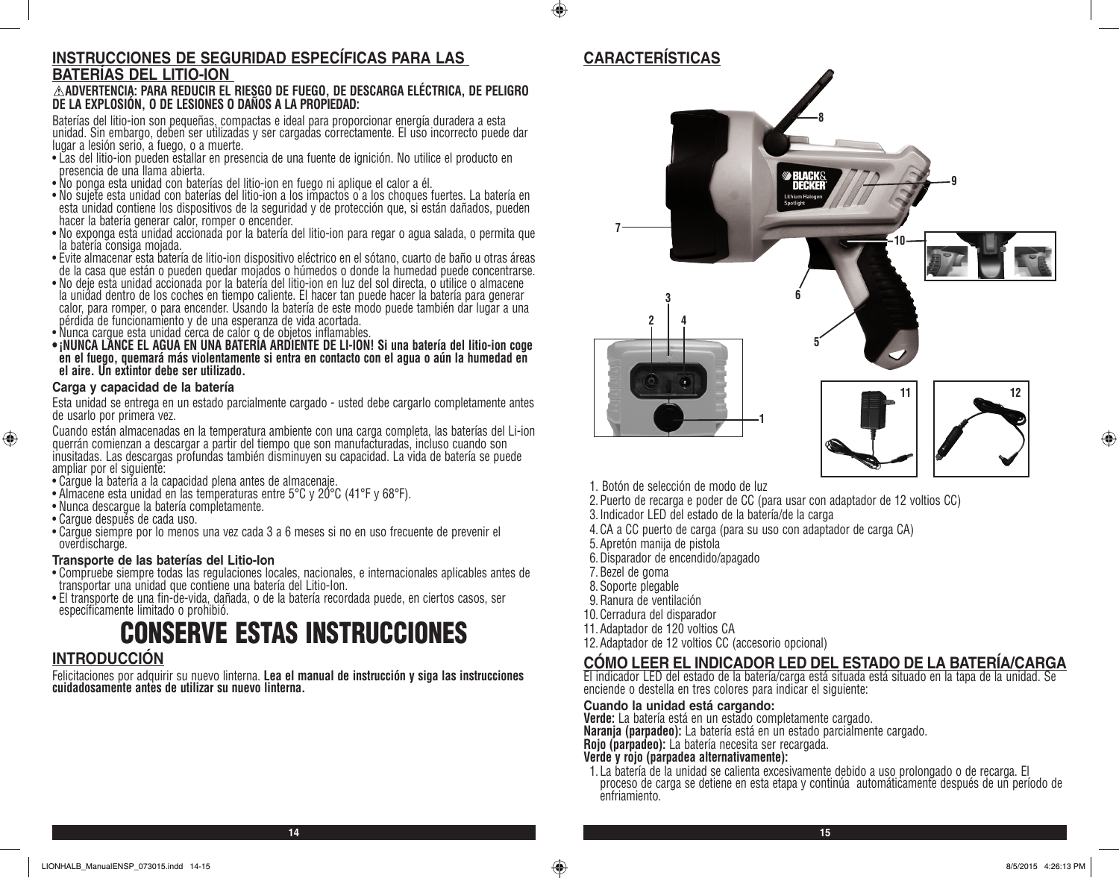#### **INSTRUCCIONES DE SEGURIDAD ESPECÍFICAS PARA LAS BATERÍAS DEL LITIO-ION**

#### **ADVERTENCIA: PARA REDUCIR EL RIESGO DE FUEGO, DE DESCARGA ELÉCTRICA, DE PELIGRO DE LA EXPLOSIÓN, O DE LESIONES O DAÑOS A LA PROPIEDAD:**

Baterías del litio-ion son pequeñas, compactas e ideal para proporcionar energía duradera a esta unidad. Sin embargo, deben ser utilizadas y ser cargadas correctamente. El uso incorrecto puede dar lugar a lesión serio, a fuego, o a muerte.

- Las del litio-ion pueden estallar en presencia de una fuente de ignición. No utilice el producto en presencia de una llama abierta.
- No ponga esta unidad con baterías del litio-ion en fuego ni aplique el calor a él.
- No sujete esta unidad con baterías del litio-ion a los impactos o a los choques fuertes. La batería en esta unidad contiene los dispositivos de la seguridad y de protección que, si están dañados, pueden hacer la batería generar calor, romper o encender.
- No exponga esta unidad accionada por la batería del litio-ion para regar o agua salada, o permita que la batería consiga mojada.
- Evite almacenar esta batería de litio-ion dispositivo eléctrico en el sótano, cuarto de baño u otras áreas de la casa que están o pueden quedar mojados o húmedos o donde la humedad puede concentrarse.
- No deje esta unidad accionada por la batería del litio-ion en luz del sol directa, o utilice o almacene la unidad dentro de los coches en tiempo caliente. El hacer tan puede hacer la batería para generar calor, para romper, o para encender. Usando la batería de este modo puede también dar lugar a una pérdida de funcionamiento y de una esperanza de vida acortada.
- Nunca cargue esta unidad cerca de calor o de objetos inflamables.
- **• ¡NUNCA LANCE EL AGUA EN UNA BATERÍA ARDIENTE DE LI-ION! Si una batería del litio-ion coge en el fuego, quemará más violentamente si entra en contacto con el agua o aún la humedad en el aire. Un extintor debe ser utilizado.**

#### **Carga y capacidad de la batería**

Esta unidad se entrega en un estado parcialmente cargado - usted debe cargarlo completamente antes de usarlo por primera vez.

Cuando están almacenadas en la temperatura ambiente con una carga completa, las baterías del Li-ion querrán comienzan a descargar a partir del tiempo que son manufacturadas, incluso cuando son inusitadas. Las descargas profundas también disminuyen su capacidad. La vida de batería se puede ampliar por el siguiente:

- Cargue la batería a la capacidad plena antes de almacenaje.
- Almacene esta unidad en las temperaturas entre 5°C y 20°C (41°F y 68°F).
- Nunca descargue la batería completamente.
- Cargue después de cada uso.

⊕

• Cargue siempre por lo menos una vez cada 3 a 6 meses si no en uso frecuente de prevenir el overdischarge.

#### **Transporte de las baterías del Litio-Ion**

- Compruebe siempre todas las regulaciones locales, nacionales, e internacionales aplicables antes de transportar una unidad que contiene una batería del Litio-Ion.
- El transporte de una fin-de-vida, dañada, o de la batería recordada puede, en ciertos casos, ser específicamente limitado o prohibió.

# CONSERVE ESTAS INSTRUCCIONES

#### **INTRODUCCIÓN**

Felicitaciones por adquirir su nuevo linterna. **Lea el manual de instrucción y siga las instrucciones cuidadosamente antes de utilizar su nuevo linterna.**

#### **CARACTERÍSTICAS**

 $\bigoplus$ 



- 1. Botón de selección de modo de luz
- 2.Puerto de recarga e poder de CC (para usar con adaptador de 12 voltios CC)
- 3.Indicador LED del estado de la batería/de la carga
- 4.CA a CC puerto de carga (para su uso con adaptador de carga CA)
- 5.Apretón manija de pistola
- 6.Disparador de encendido/apagado
- 7.Bezel de goma
- 8.Soporte plegable
- 9.Ranura de ventilación
- 10.Cerradura del disparador
- 11.Adaptador de 120 voltios CA
- 12.Adaptador de 12 voltios CC (accesorio opcional)

#### **CÓMO LEER EL INDICADOR LED DEL ESTADO DE LA BATERÍA/CARGA**

El indicador LED del estado de la batería/carga está situada está situado en la tapa de la unidad. Se enciende o destella en tres colores para indicar el siguiente:

#### **Cuando la unidad está cargando:**

**Verde:** La batería está en un estado completamente cargado.

**Naranja (parpadeo):** La batería está en un estado parcialmente cargado.

**Rojo (parpadeo):** La batería necesita ser recargada.

#### **Verde y rojo (parpadea alternativamente):**

1. La batería de la unidad se calienta excesivamente debido a uso prolongado o de recarga. El proceso de carga se detiene en esta etapa y continúa automáticamente después de un período de enfriamiento.

⊕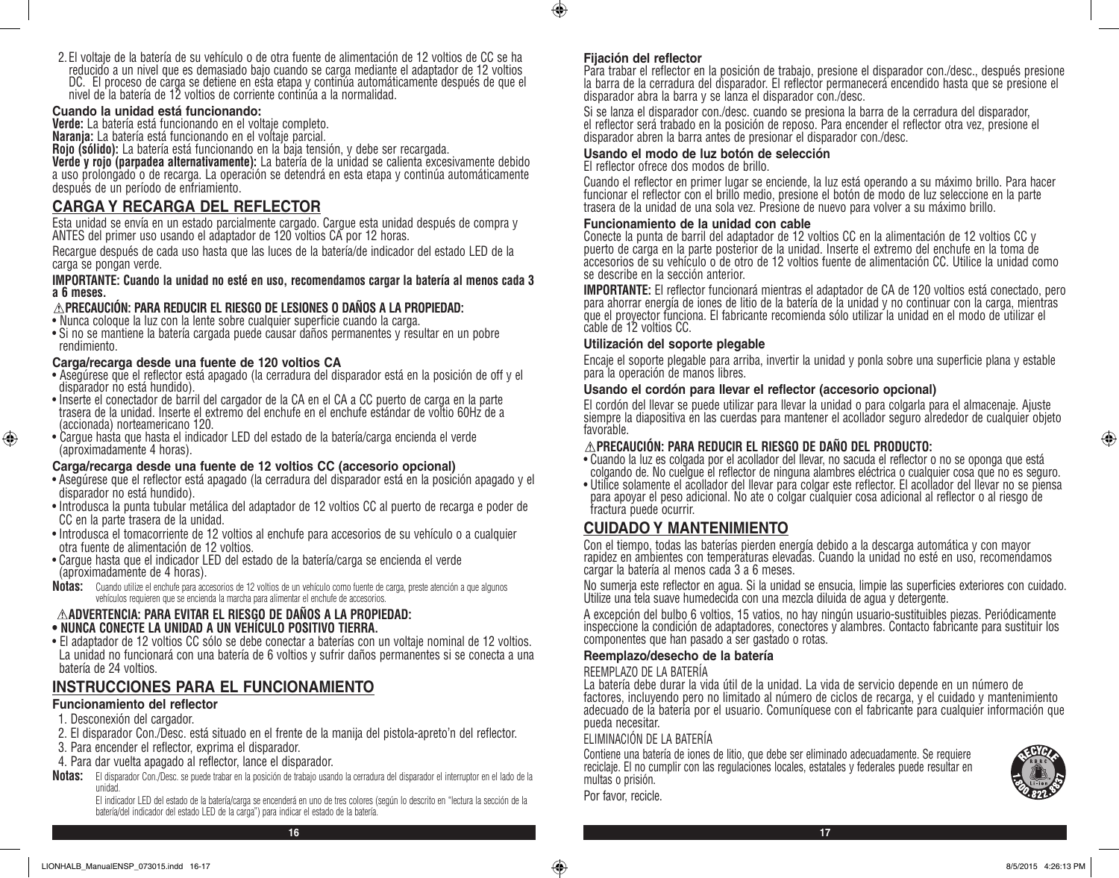2. El voltaje de la batería de su vehículo o de otra fuente de alimentación de 12 voltios de CC se ha reducido a un nivel que es demasiado bajo cuando se carga mediante el adaptador de 12 voltios DC. El proceso de carga se detiene en esta etapa y continúa automáticamente después de que el nivel de la batería de 12 voltios de corriente continúa a la normalidad.

#### **Cuando la unidad está funcionando:**

**Verde:** La batería está funcionando en el voltaje completo.

**Naranja:** La batería está funcionando en el voltaje parcial.

**Rojo (sólido):** La batería está funcionando en la baja tensión, y debe ser recargada.

**Verde y rojo (parpadea alternativamente):** La batería de la unidad se calienta excesivamente debido a uso prolongado o de recarga. La operación se detendrá en esta etapa y continúa automáticamente después de un período de enfriamiento.

#### **CARGA Y RECARGA DEL REFLECTOR**

Esta unidad se envía en un estado parcialmente cargado. Cargue esta unidad después de compra y ANTES del primer uso usando el adaptador de 120 voltios CA por 12 horas.

Recargue después de cada uso hasta que las luces de la batería/de indicador del estado LED de la carga se pongan verde.

#### **IMPORTANTE: Cuando la unidad no esté en uso, recomendamos cargar la batería al menos cada 3 a 6 meses.**

#### **PRECAUCIÓN: PARA REDUCIR EL RIESGO DE LESIONES O DAÑOS A LA PROPIEDAD:**

- Nunca coloque la luz con la lente sobre cualquier superficie cuando la carga.
- Si no se mantiene la batería cargada puede causar daños permanentes y resultar en un pobre rendimiento.

#### **Carga/recarga desde una fuente de 120 voltios CA**

- Asegúrese que el reflector está apagado (la cerradura del disparador está en la posición de off y el disparador no está hundido).
- Inserte el conectador de barril del cargador de la CA en el CA a CC puerto de carga en la parte trasera de la unidad. Inserte el extremo del enchufe en el enchufe estándar de voltio 60Hz de a (accionada) norteamericano 120.
- Cargue hasta que hasta el indicador LED del estado de la batería/carga encienda el verde (aproximadamente 4 horas).

#### **Carga/recarga desde una fuente de 12 voltios CC (accesorio opcional)**

- Asegúrese que el reflector está apagado (la cerradura del disparador está en la posición apagado y el disparador no está hundido).
- Introdusca la punta tubular metálica del adaptador de 12 voltios CC al puerto de recarga e poder de CC en la parte trasera de la unidad.
- Introdusca el tomacorriente de 12 voltios al enchufe para accesorios de su vehículo o a cualquier otra fuente de alimentación de 12 voltios.
- Cargue hasta que el indicador LED del estado de la batería/carga se encienda el verde (aproximadamente de 4 horas).
- **Notas:** Cuando utilize el enchufe para accesorios de 12 voltios de un vehículo como fuente de carga, preste atención a que algunos vehículos requieren que se encienda la marcha para alimentar el enchufe de accesorios.

#### **ADVERTENCIA: PARA EVITAR EL RIESGO DE DAÑOS A LA PROPIEDAD: • NUNCA CONECTE LA UNIDAD A UN VEHÍCULO POSITIVO TIERRA.**

• El adaptador de 12 voltios CC sólo se debe conectar a baterías con un voltaje nominal de 12 voltios. La unidad no funcionará con una batería de 6 voltios y sufrir daños permanentes si se conecta a una batería de 24 voltios.

#### **INSTRUCCIONES PARA EL FUNCIONAMIENTO**

#### **Funcionamiento del reflector**

1. Desconexión del cargador.

⊕

- 2. El disparador Con./Desc. está situado en el frente de la manija del pistola-apreto'n del reflector.
- 3. Para encender el reflector, exprima el disparador.
- 4. Para dar vuelta apagado al reflector, lance el disparador.
- **Notas:** El disparador Con./Desc. se puede trabar en la posición de trabajo usando la cerradura del disparador el interruptor en el lado de la unidad.

El indicador LED del estado de la batería/carga se encenderá en uno de tres colores (según lo descrito en "lectura la sección de la batería/del indicador del estado LED de la carga") para indicar el estado de la batería.

#### **Fijación del reflector**

Para trabar el reflector en la posición de trabajo, presione el disparador con./desc., después presione la barra de la cerradura del disparador. El reflector permanecerá encendido hasta que se presione el disparador abra la barra y se lanza el disparador con./desc.

Si se lanza el disparador con./desc. cuando se presiona la barra de la cerradura del disparador, el reflector será trabado en la posición de reposo. Para encender el reflector otra vez, presione el disparador abren la barra antes de presionar el disparador con./desc.

#### **Usando el modo de luz botón de selección**

El reflector ofrece dos modos de brillo.

Cuando el reflector en primer lugar se enciende, la luz está operando a su máximo brillo. Para hacer funcionar el reflector con el brillo medio, presione el botón de modo de luz seleccione en la parte trasera de la unidad de una sola vez. Presione de nuevo para volver a su máximo brillo.

#### **Funcionamiento de la unidad con cable**

Conecte la punta de barril del adaptador de 12 voltios CC en la alimentación de 12 voltios CC y puerto de carga en la parte posterior de la unidad. Inserte el extremo del enchufe en la toma de accesorios de su vehículo o de otro de 12 voltios fuente de alimentación CC. Utilice la unidad como se describe en la sección anterior.

**IMPORTANTE:** El reflector funcionará mientras el adaptador de CA de 120 voltios está conectado, pero para ahorrar energía de iones de litio de la batería de la unidad y no continuar con la carga, mientras que el proyector funciona. El fabricante recomienda sólo utilizar la unidad en el modo de utilizar el cable de 12 voltios CC.

#### **Utilización del soporte plegable**

Encaje el soporte plegable para arriba, invertir la unidad y ponla sobre una superficie plana y estable para la operación de manos libres.

#### **Usando el cordón para llevar el reflector (accesorio opcional)**

El cordón del llevar se puede utilizar para llevar la unidad o para colgarla para el almacenaje. Ajuste siempre la diapositiva en las cuerdas para mantener el acollador seguro alrededor de cualquier objeto favorable.

#### **PRECAUCIÓN: PARA REDUCIR EL RIESGO DE DAÑO DEL PRODUCTO:**

- Cuando la luz es colgada por el acollador del llevar, no sacuda el reflector o no se oponga que está colgando de. No cuelgue el reflector de ninguna alambres eléctrica o cualquier cosa que no es seguro.
- Utilice solamente el acollador del llevar para colgar este reflector. El acollador del llevar no se piensa para apoyar el peso adicional. No ate o colgar cualquier cosa adicional al reflector o al riesgo de fractura puede ocurrir.

#### **CUIDADO Y MANTENIMIENTO**

Con el tiempo, todas las baterías pierden energía debido a la descarga automática y con mayor rapidez en ambientes con temperaturas elevadas. Cuando la unidad no esté en uso, recomendamos cargar la batería al menos cada 3 a 6 meses.

No sumerja este reflector en agua. Si la unidad se ensucia, limpie las superficies exteriores con cuidado. Utilize una tela suave humedecida con una mezcla diluida de agua y detergente.

A excepción del bulbo 6 voltios, 15 vatios, no hay ningún usuario-sustituibles piezas. Periódicamente inspeccione la condición de adaptadores, conectores y alambres. Contacto fabricante para sustituir los componentes que han pasado a ser gastado o rotas.

#### **Reemplazo/desecho de la batería**

#### REEMPLAZO DE LA BATERÍA

La batería debe durar la vida útil de la unidad. La vida de servicio depende en un número de factores, incluyendo pero no limitado al número de ciclos de recarga, y el cuidado y mantenimiento adecuado de la batería por el usuario. Comuníquese con el fabricante para cualquier información que pueda necesitar.

#### ELIMINACIÓN DE LA BATERÍA

Contiene una batería de iones de litio, que debe ser eliminado adecuadamente. Se requiere reciclaje. El no cumplir con las regulaciones locales, estatales y federales puede resultar en multas o prisión.



⊕

Por favor, recicle.